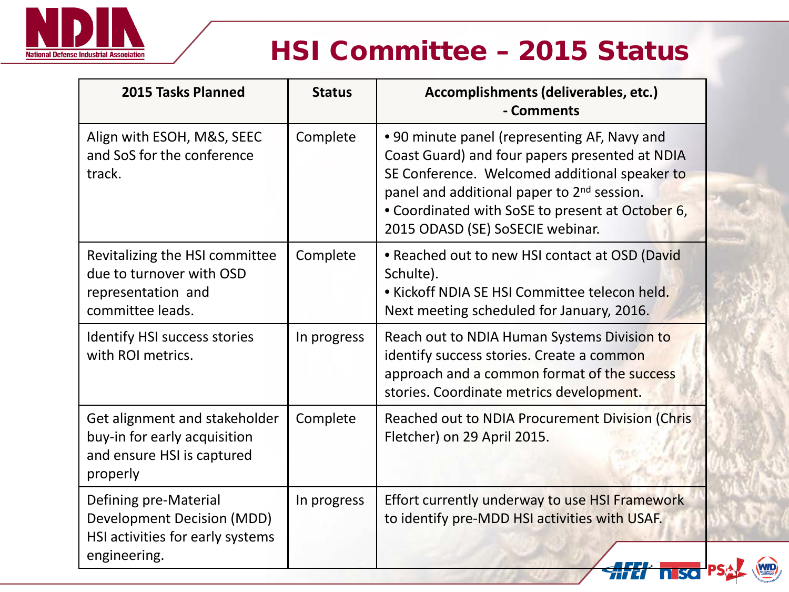

# HSI Committee – 2015 Status

**WID** 

| 2015 Tasks Planned                                                                                      | <b>Status</b> | Accomplishments (deliverables, etc.)<br>- Comments                                                                                                                                                                                                                                                |
|---------------------------------------------------------------------------------------------------------|---------------|---------------------------------------------------------------------------------------------------------------------------------------------------------------------------------------------------------------------------------------------------------------------------------------------------|
| Align with ESOH, M&S, SEEC<br>and SoS for the conference<br>track.                                      | Complete      | • 90 minute panel (representing AF, Navy and<br>Coast Guard) and four papers presented at NDIA<br>SE Conference. Welcomed additional speaker to<br>panel and additional paper to 2 <sup>nd</sup> session.<br>• Coordinated with SoSE to present at October 6,<br>2015 ODASD (SE) SoSECIE webinar. |
| Revitalizing the HSI committee<br>due to turnover with OSD<br>representation and<br>committee leads.    | Complete      | • Reached out to new HSI contact at OSD (David<br>Schulte).<br>• Kickoff NDIA SE HSI Committee telecon held.<br>Next meeting scheduled for January, 2016.                                                                                                                                         |
| <b>Identify HSI success stories</b><br>with ROI metrics.                                                | In progress   | Reach out to NDIA Human Systems Division to<br>identify success stories. Create a common<br>approach and a common format of the success<br>stories. Coordinate metrics development.                                                                                                               |
| Get alignment and stakeholder<br>buy-in for early acquisition<br>and ensure HSI is captured<br>properly | Complete      | Reached out to NDIA Procurement Division (Chris<br>Fletcher) on 29 April 2015.                                                                                                                                                                                                                    |
| Defining pre-Material<br>Development Decision (MDD)<br>HSI activities for early systems<br>engineering. | In progress   | Effort currently underway to use HSI Framework<br>to identify pre-MDD HSI activities with USAF.                                                                                                                                                                                                   |